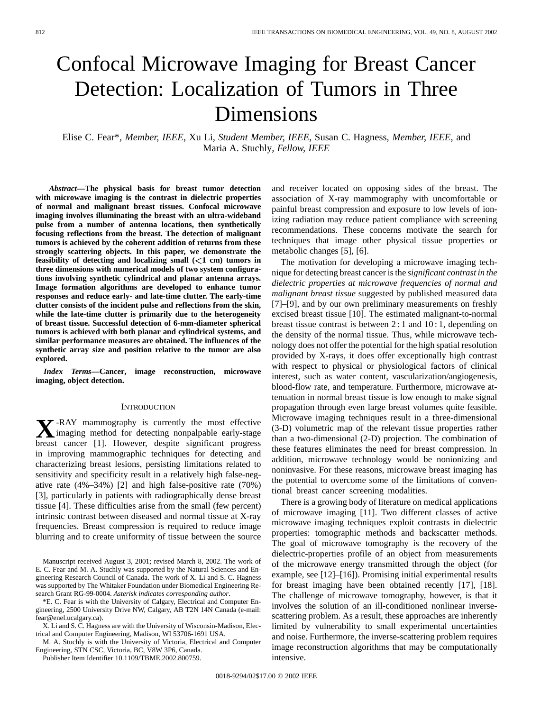# Confocal Microwave Imaging for Breast Cancer Detection: Localization of Tumors in Three Dimensions

Elise C. Fear\**, Member, IEEE*, Xu Li*, Student Member, IEEE*, Susan C. Hagness*, Member, IEEE*, and Maria A. Stuchly*, Fellow, IEEE*

*Abstract—***The physical basis for breast tumor detection with microwave imaging is the contrast in dielectric properties of normal and malignant breast tissues. Confocal microwave imaging involves illuminating the breast with an ultra-wideband pulse from a number of antenna locations, then synthetically focusing reflections from the breast. The detection of malignant tumors is achieved by the coherent addition of returns from these strongly scattering objects. In this paper, we demonstrate the feasibility of detecting and localizing small**  $\left(\leq 1 \text{ cm}\right)$  **tumors in three dimensions with numerical models of two system configurations involving synthetic cylindrical and planar antenna arrays. Image formation algorithms are developed to enhance tumor responses and reduce early- and late-time clutter. The early-time clutter consists of the incident pulse and reflections from the skin, while the late-time clutter is primarily due to the heterogeneity of breast tissue. Successful detection of 6-mm-diameter spherical tumors is achieved with both planar and cylindrical systems, and similar performance measures are obtained. The influences of the synthetic array size and position relative to the tumor are also explored.**

*Index Terms—***Cancer, image reconstruction, microwave imaging, object detection.**

#### **INTRODUCTION**

**X**-RAY mammography is currently the most effective imaging method for detecting nonpalpable early-stage breast cancer [1]. However, despite significant progress in improving mammographic techniques for detecting and characterizing breast lesions, persisting limitations related to sensitivity and specificity result in a relatively high false-negative rate (4%–34%) [2] and high false-positive rate (70%) [3], particularly in patients with radiographically dense breast tissue [4]. These difficulties arise from the small (few percent) intrinsic contrast between diseased and normal tissue at X-ray frequencies. Breast compression is required to reduce image blurring and to create uniformity of tissue between the source

Manuscript received August 3, 2001; revised March 8, 2002. The work of E. C. Fear and M. A. Stuchly was supported by the Natural Sciences and Engineering Research Council of Canada. The work of X. Li and S. C. Hagness was supported by The Whitaker Foundation under Biomedical Engineering Research Grant RG-99-0004. *Asterisk indicates corresponding author*.

\*E. C. Fear is with the University of Calgary, Electrical and Computer Engineering, 2500 University Drive NW, Calgary, AB T2N 14N Canada (e-mail: fear@enel.ucalgary.ca).

X. Li and S. C. Hagness are with the University of Wisconsin-Madison, Electrical and Computer Engineering, Madison, WI 53706-1691 USA.

M. A. Stuchly is with the University of Victoria, Electrical and Computer Engineering, STN CSC, Victoria, BC, V8W 3P6, Canada.

Publisher Item Identifier 10.1109/TBME.2002.800759.

and receiver located on opposing sides of the breast. The association of X-ray mammography with uncomfortable or painful breast compression and exposure to low levels of ionizing radiation may reduce patient compliance with screening recommendations. These concerns motivate the search for techniques that image other physical tissue properties or metabolic changes [5], [6].

The motivation for developing a microwave imaging technique for detecting breast cancer is the *significant contrast in the dielectric properties at microwave frequencies of normal and malignant breast tissue* suggested by published measured data [7]–[9], and by our own preliminary measurements on freshly excised breast tissue [10]. The estimated malignant-to-normal breast tissue contrast is between 2 : 1 and 10 : 1, depending on the density of the normal tissue. Thus, while microwave technology does not offer the potential for the high spatial resolution provided by X-rays, it does offer exceptionally high contrast with respect to physical or physiological factors of clinical interest, such as water content, vascularization/angiogenesis, blood-flow rate, and temperature. Furthermore, microwave attenuation in normal breast tissue is low enough to make signal propagation through even large breast volumes quite feasible. Microwave imaging techniques result in a three-dimensional (3-D) volumetric map of the relevant tissue properties rather than a two-dimensional (2-D) projection. The combination of these features eliminates the need for breast compression. In addition, microwave technology would be nonionizing and noninvasive. For these reasons, microwave breast imaging has the potential to overcome some of the limitations of conventional breast cancer screening modalities.

There is a growing body of literature on medical applications of microwave imaging [11]. Two different classes of active microwave imaging techniques exploit contrasts in dielectric properties: tomographic methods and backscatter methods. The goal of microwave tomography is the recovery of the dielectric-properties profile of an object from measurements of the microwave energy transmitted through the object (for example, see [12]–[16]). Promising initial experimental results for breast imaging have been obtained recently [17], [18]. The challenge of microwave tomography, however, is that it involves the solution of an ill-conditioned nonlinear inversescattering problem. As a result, these approaches are inherently limited by vulnerability to small experimental uncertainties and noise. Furthermore, the inverse-scattering problem requires image reconstruction algorithms that may be computationally intensive.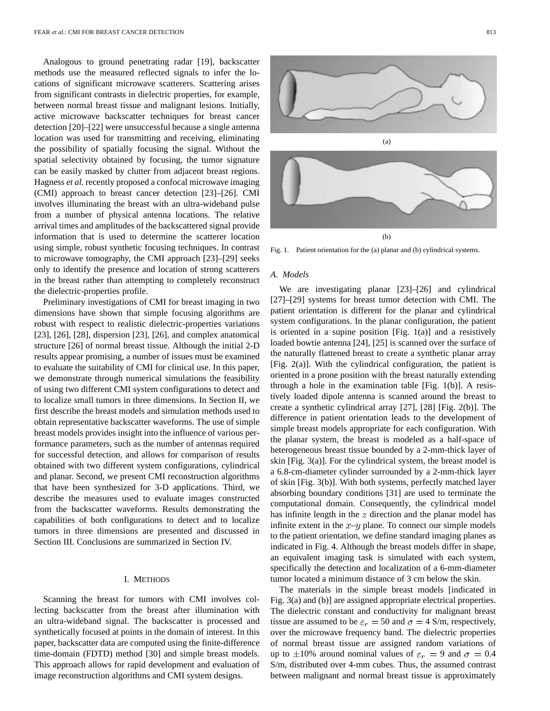Analogous to ground penetrating radar [19], backscatter methods use the measured reflected signals to infer the locations of significant microwave scatterers. Scattering arises from significant contrasts in dielectric properties, for example, between normal breast tissue and malignant lesions. Initially, active microwave backscatter techniques for breast cancer detection [20]–[22] were unsuccessful because a single antenna location was used for transmitting and receiving, eliminating the possibility of spatially focusing the signal. Without the spatial selectivity obtained by focusing, the tumor signature can be easily masked by clutter from adjacent breast regions. Hagness *et al.* recently proposed a confocal microwave imaging (CMI) approach to breast cancer detection [23]–[26]. CMI involves illuminating the breast with an ultra-wideband pulse from a number of physical antenna locations. The relative arrival times and amplitudes of the backscattered signal provide information that is used to determine the scatterer location using simple, robust synthetic focusing techniques. In contrast to microwave tomography, the CMI approach [23]–[29] seeks only to identify the presence and location of strong scatterers in the breast rather than attempting to completely reconstruct the dielectric-properties profile.

Preliminary investigations of CMI for breast imaging in two dimensions have shown that simple focusing algorithms are robust with respect to realistic dielectric-properties variations [23], [26], [28], dispersion [23], [26], and complex anatomical structure [26] of normal breast tissue. Although the initial 2-D results appear promising, a number of issues must be examined to evaluate the suitability of CMI for clinical use. In this paper, we demonstrate through numerical simulations the feasibility of using two different CMI system configurations to detect and to localize small tumors in three dimensions. In Section II, we first describe the breast models and simulation methods used to obtain representative backscatter waveforms. The use of simple breast models provides insight into the influence of various performance parameters, such as the number of antennas required for successful detection, and allows for comparison of results obtained with two different system configurations, cylindrical and planar. Second, we present CMI reconstruction algorithms that have been synthesized for 3-D applications. Third, we describe the measures used to evaluate images constructed from the backscatter waveforms. Results demonstrating the capabilities of both configurations to detect and to localize tumors in three dimensions are presented and discussed in Section III. Conclusions are summarized in Section IV.

#### I. METHODS

Scanning the breast for tumors with CMI involves collecting backscatter from the breast after illumination with an ultra-wideband signal. The backscatter is processed and synthetically focused at points in the domain of interest. In this paper, backscatter data are computed using the finite-difference time-domain (FDTD) method [30] and simple breast models. This approach allows for rapid development and evaluation of image reconstruction algorithms and CMI system designs.



Fig. 1. Patient orientation for the (a) planar and (b) cylindrical systems.

## *A. Models*

We are investigating planar [23]–[26] and cylindrical [27]–[29] systems for breast tumor detection with CMI. The patient orientation is different for the planar and cylindrical system configurations. In the planar configuration, the patient is oriented in a supine position [Fig.  $1(a)$ ] and a resistively loaded bowtie antenna [24], [25] is scanned over the surface of the naturally flattened breast to create a synthetic planar array [Fig. 2(a)]. With the cylindrical configuration, the patient is oriented in a prone position with the breast naturally extending through a hole in the examination table [Fig. 1(b)]. A resistively loaded dipole antenna is scanned around the breast to create a synthetic cylindrical array [27], [28] [Fig. 2(b)]. The difference in patient orientation leads to the development of simple breast models appropriate for each configuration. With the planar system, the breast is modeled as a half-space of heterogeneous breast tissue bounded by a 2-mm-thick layer of skin [Fig. 3(a)]. For the cylindrical system, the breast model is a 6.8-cm-diameter cylinder surrounded by a 2-mm-thick layer of skin [Fig. 3(b)]. With both systems, perfectly matched layer absorbing boundary conditions [31] are used to terminate the computational domain. Consequently, the cylindrical model has infinite length in the  $z$  direction and the planar model has infinite extent in the  $x-y$  plane. To connect our simple models to the patient orientation, we define standard imaging planes as indicated in Fig. 4. Although the breast models differ in shape, an equivalent imaging task is simulated with each system, specifically the detection and localization of a 6-mm-diameter tumor located a minimum distance of 3 cm below the skin.

The materials in the simple breast models [indicated in Fig. 3(a) and (b)] are assigned appropriate electrical properties. The dielectric constant and conductivity for malignant breast tissue are assumed to be  $\varepsilon_r = 50$  and  $\sigma = 4$  S/m, respectively, over the microwave frequency band. The dielectric properties of normal breast tissue are assigned random variations of up to  $\pm 10\%$  around nominal values of  $\varepsilon_r = 9$  and  $\sigma = 0.4$ S/m, distributed over 4-mm cubes. Thus, the assumed contrast between malignant and normal breast tissue is approximately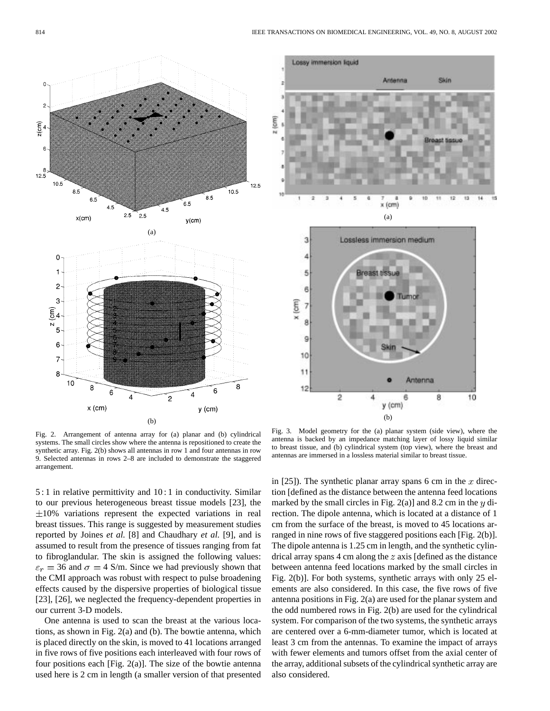



Fig. 2. Arrangement of antenna array for (a) planar and (b) cylindrical systems. The small circles show where the antenna is repositioned to create the synthetic array. Fig. 2(b) shows all antennas in row 1 and four antennas in row 9. Selected antennas in rows 2–8 are included to demonstrate the staggered arrangement.

5 : 1 in relative permittivity and 10 : 1 in conductivity. Similar to our previous heterogeneous breast tissue models [23], the  $\pm 10\%$  variations represent the expected variations in real breast tissues. This range is suggested by measurement studies reported by Joines *et al.* [8] and Chaudhary *et al.* [9], and is assumed to result from the presence of tissues ranging from fat to fibroglandular. The skin is assigned the following values:  $\varepsilon_r = 36$  and  $\sigma = 4$  S/m. Since we had previously shown that the CMI approach was robust with respect to pulse broadening effects caused by the dispersive properties of biological tissue [23], [26], we neglected the frequency-dependent properties in our current 3-D models.

One antenna is used to scan the breast at the various locations, as shown in Fig. 2(a) and (b). The bowtie antenna, which is placed directly on the skin, is moved to 41 locations arranged in five rows of five positions each interleaved with four rows of four positions each [Fig. 2(a)]. The size of the bowtie antenna used here is 2 cm in length (a smaller version of that presented

Fig. 3. Model geometry for the (a) planar system (side view), where the antenna is backed by an impedance matching layer of lossy liquid similar to breast tissue, and (b) cylindrical system (top view), where the breast and antennas are immersed in a lossless material similar to breast tissue.

in [25]). The synthetic planar array spans 6 cm in the  $x$  direction [defined as the distance between the antenna feed locations marked by the small circles in Fig. 2(a)] and 8.2 cm in the  $y$  direction. The dipole antenna, which is located at a distance of 1 cm from the surface of the breast, is moved to 45 locations arranged in nine rows of five staggered positions each [Fig. 2(b)]. The dipole antenna is 1.25 cm in length, and the synthetic cylindrical array spans 4 cm along the  $z$  axis [defined as the distance between antenna feed locations marked by the small circles in Fig. 2(b)]. For both systems, synthetic arrays with only 25 elements are also considered. In this case, the five rows of five antenna positions in Fig. 2(a) are used for the planar system and the odd numbered rows in Fig. 2(b) are used for the cylindrical system. For comparison of the two systems, the synthetic arrays are centered over a 6-mm-diameter tumor, which is located at least 3 cm from the antennas. To examine the impact of arrays with fewer elements and tumors offset from the axial center of the array, additional subsets of the cylindrical synthetic array are also considered.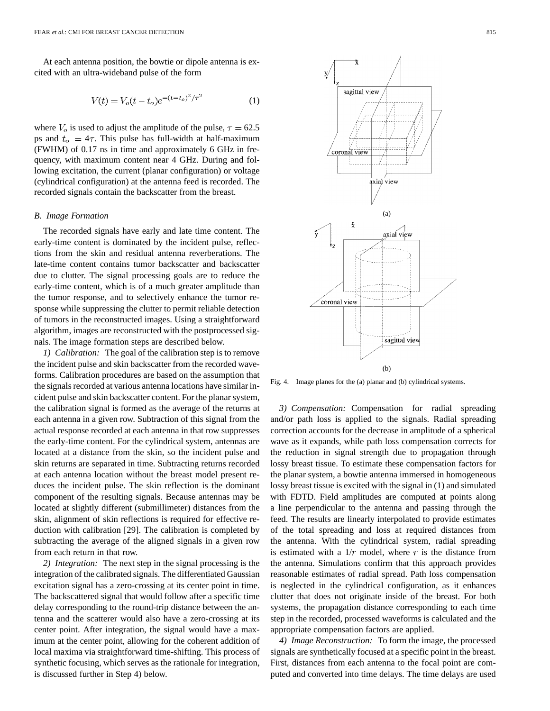At each antenna position, the bowtie or dipole antenna is excited with an ultra-wideband pulse of the form

$$
V(t) = V_o(t - t_o)e^{-(t - t_o)^2/\tau^2}
$$
 (1)

where  $V_o$  is used to adjust the amplitude of the pulse,  $\tau = 62.5$ ps and  $t_o = 4\tau$ . This pulse has full-width at half-maximum (FWHM) of 0.17 ns in time and approximately 6 GHz in frequency, with maximum content near 4 GHz. During and following excitation, the current (planar configuration) or voltage (cylindrical configuration) at the antenna feed is recorded. The recorded signals contain the backscatter from the breast.

## *B. Image Formation*

The recorded signals have early and late time content. The early-time content is dominated by the incident pulse, reflections from the skin and residual antenna reverberations. The late-time content contains tumor backscatter and backscatter due to clutter. The signal processing goals are to reduce the early-time content, which is of a much greater amplitude than the tumor response, and to selectively enhance the tumor response while suppressing the clutter to permit reliable detection of tumors in the reconstructed images. Using a straightforward algorithm, images are reconstructed with the postprocessed signals. The image formation steps are described below.

*1) Calibration:* The goal of the calibration step is to remove the incident pulse and skin backscatter from the recorded waveforms. Calibration procedures are based on the assumption that the signals recorded at various antenna locations have similar incident pulse and skin backscatter content. For the planar system, the calibration signal is formed as the average of the returns at each antenna in a given row. Subtraction of this signal from the actual response recorded at each antenna in that row suppresses the early-time content. For the cylindrical system, antennas are located at a distance from the skin, so the incident pulse and skin returns are separated in time. Subtracting returns recorded at each antenna location without the breast model present reduces the incident pulse. The skin reflection is the dominant component of the resulting signals. Because antennas may be located at slightly different (submillimeter) distances from the skin, alignment of skin reflections is required for effective reduction with calibration [29]. The calibration is completed by subtracting the average of the aligned signals in a given row from each return in that row.

*2) Integration:* The next step in the signal processing is the integration of the calibrated signals. The differentiated Gaussian excitation signal has a zero-crossing at its center point in time. The backscattered signal that would follow after a specific time delay corresponding to the round-trip distance between the antenna and the scatterer would also have a zero-crossing at its center point. After integration, the signal would have a maximum at the center point, allowing for the coherent addition of local maxima via straightforward time-shifting. This process of synthetic focusing, which serves as the rationale for integration, is discussed further in Step 4) below.



Fig. 4. Image planes for the (a) planar and (b) cylindrical systems.

*3) Compensation:* Compensation for radial spreading and/or path loss is applied to the signals. Radial spreading correction accounts for the decrease in amplitude of a spherical wave as it expands, while path loss compensation corrects for the reduction in signal strength due to propagation through lossy breast tissue. To estimate these compensation factors for the planar system, a bowtie antenna immersed in homogeneous lossy breast tissue is excited with the signal in (1) and simulated with FDTD. Field amplitudes are computed at points along a line perpendicular to the antenna and passing through the feed. The results are linearly interpolated to provide estimates of the total spreading and loss at required distances from the antenna. With the cylindrical system, radial spreading is estimated with a  $1/r$  model, where r is the distance from the antenna. Simulations confirm that this approach provides reasonable estimates of radial spread. Path loss compensation is neglected in the cylindrical configuration, as it enhances clutter that does not originate inside of the breast. For both systems, the propagation distance corresponding to each time step in the recorded, processed waveforms is calculated and the appropriate compensation factors are applied.

*4) Image Reconstruction:* To form the image, the processed signals are synthetically focused at a specific point in the breast. First, distances from each antenna to the focal point are computed and converted into time delays. The time delays are used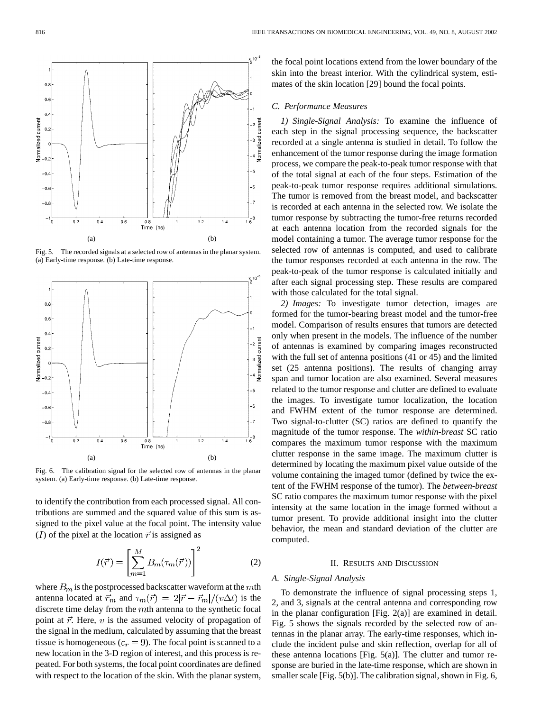

Fig. 5. The recorded signals at a selected row of antennas in the planar system. (a) Early-time response. (b) Late-time response.



Fig. 6. The calibration signal for the selected row of antennas in the planar system. (a) Early-time response. (b) Late-time response.

to identify the contribution from each processed signal. All contributions are summed and the squared value of this sum is assigned to the pixel value at the focal point. The intensity value (*I*) of the pixel at the location  $\vec{r}$  is assigned as

$$
I(\vec{r}) = \left[\sum_{m=1}^{M} B_m(\tau_m(\vec{r}))\right]^2 \tag{2}
$$

where  $B_m$  is the postprocessed backscatter waveform at the  $m$ th antenna located at  $\vec{r}_m$  and  $\tau_m(\vec{r}) = 2|\vec{r} - \vec{r}_m|/(v\Delta t)$  is the discrete time delay from the  $m$ th antenna to the synthetic focal point at  $\vec{r}$ . Here, v is the assumed velocity of propagation of the signal in the medium, calculated by assuming that the breast tissue is homogeneous ( $\varepsilon_r = 9$ ). The focal point is scanned to a new location in the 3-D region of interest, and this process is repeated. For both systems, the focal point coordinates are defined with respect to the location of the skin. With the planar system, the focal point locations extend from the lower boundary of the skin into the breast interior. With the cylindrical system, estimates of the skin location [29] bound the focal points.

# *C. Performance Measures*

*1) Single-Signal Analysis:* To examine the influence of each step in the signal processing sequence, the backscatter recorded at a single antenna is studied in detail. To follow the enhancement of the tumor response during the image formation process, we compare the peak-to-peak tumor response with that of the total signal at each of the four steps. Estimation of the peak-to-peak tumor response requires additional simulations. The tumor is removed from the breast model, and backscatter is recorded at each antenna in the selected row. We isolate the tumor response by subtracting the tumor-free returns recorded at each antenna location from the recorded signals for the model containing a tumor. The average tumor response for the selected row of antennas is computed, and used to calibrate the tumor responses recorded at each antenna in the row. The peak-to-peak of the tumor response is calculated initially and after each signal processing step. These results are compared with those calculated for the total signal.

*2) Images:* To investigate tumor detection, images are formed for the tumor-bearing breast model and the tumor-free model. Comparison of results ensures that tumors are detected only when present in the models. The influence of the number of antennas is examined by comparing images reconstructed with the full set of antenna positions (41 or 45) and the limited set (25 antenna positions). The results of changing array span and tumor location are also examined. Several measures related to the tumor response and clutter are defined to evaluate the images. To investigate tumor localization, the location and FWHM extent of the tumor response are determined. Two signal-to-clutter (SC) ratios are defined to quantify the magnitude of the tumor response. The *within-breast* SC ratio compares the maximum tumor response with the maximum clutter response in the same image. The maximum clutter is determined by locating the maximum pixel value outside of the volume containing the imaged tumor (defined by twice the extent of the FWHM response of the tumor). The *between-breast* SC ratio compares the maximum tumor response with the pixel intensity at the same location in the image formed without a tumor present. To provide additional insight into the clutter behavior, the mean and standard deviation of the clutter are computed.

## II. RESULTS AND DISCUSSION

## *A. Single-Signal Analysis*

To demonstrate the influence of signal processing steps 1, 2, and 3, signals at the central antenna and corresponding row in the planar configuration [Fig. 2(a)] are examined in detail. Fig. 5 shows the signals recorded by the selected row of antennas in the planar array. The early-time responses, which include the incident pulse and skin reflection, overlap for all of these antenna locations [Fig. 5(a)]. The clutter and tumor response are buried in the late-time response, which are shown in smaller scale [Fig. 5(b)]. The calibration signal, shown in Fig. 6,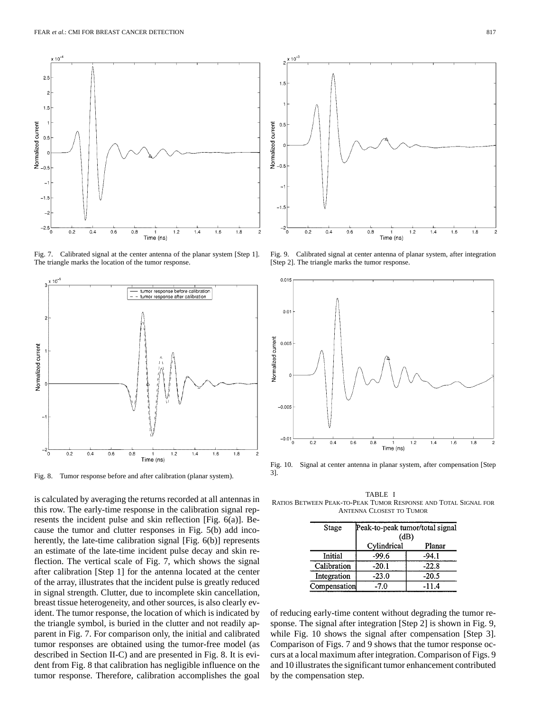

Fig. 7. Calibrated signal at the center antenna of the planar system [Step 1]. The triangle marks the location of the tumor response.



Fig. 8. Tumor response before and after calibration (planar system).

is calculated by averaging the returns recorded at all antennas in this row. The early-time response in the calibration signal represents the incident pulse and skin reflection [Fig. 6(a)]. Because the tumor and clutter responses in Fig. 5(b) add incoherently, the late-time calibration signal [Fig. 6(b)] represents an estimate of the late-time incident pulse decay and skin reflection. The vertical scale of Fig. 7, which shows the signal after calibration [Step 1] for the antenna located at the center of the array, illustrates that the incident pulse is greatly reduced in signal strength. Clutter, due to incomplete skin cancellation, breast tissue heterogeneity, and other sources, is also clearly evident. The tumor response, the location of which is indicated by the triangle symbol, is buried in the clutter and not readily apparent in Fig. 7. For comparison only, the initial and calibrated tumor responses are obtained using the tumor-free model (as described in Section II-C) and are presented in Fig. 8. It is evident from Fig. 8 that calibration has negligible influence on the tumor response. Therefore, calibration accomplishes the goal



Fig. 9. Calibrated signal at center antenna of planar system, after integration [Step 2]. The triangle marks the tumor response.



Fig. 10. Signal at center antenna in planar system, after compensation [Step 3].

TABLE I RATIOS BETWEEN PEAK-TO-PEAK TUMOR RESPONSE AND TOTAL SIGNAL FOR ANTENNA CLOSEST TO TUMOR

| Stage        | Peak-to-peak tumor/total signal<br>(dB) |         |  |
|--------------|-----------------------------------------|---------|--|
|              | Cylindrical                             | Planar  |  |
| Initial      | $-99.6$                                 | $-94.1$ |  |
| Calibration  | $-20.1$                                 | $-22.8$ |  |
| Integration  | $-23.0$                                 | $-20.5$ |  |
| Compensation | $-7.0$                                  | $-11.4$ |  |

of reducing early-time content without degrading the tumor response. The signal after integration [Step 2] is shown in Fig. 9, while Fig. 10 shows the signal after compensation [Step 3]. Comparison of Figs. 7 and 9 shows that the tumor response occurs at a local maximum after integration. Comparison of Figs. 9 and 10 illustrates the significant tumor enhancement contributed by the compensation step.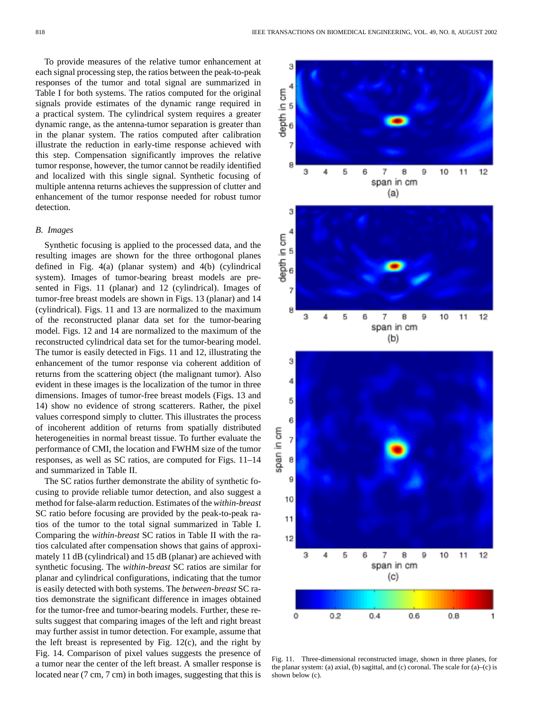To provide measures of the relative tumor enhancement at each signal processing step, the ratios between the peak-to-peak responses of the tumor and total signal are summarized in Table I for both systems. The ratios computed for the original signals provide estimates of the dynamic range required in a practical system. The cylindrical system requires a greater dynamic range, as the antenna-tumor separation is greater than in the planar system. The ratios computed after calibration illustrate the reduction in early-time response achieved with this step. Compensation significantly improves the relative tumor response, however, the tumor cannot be readily identified and localized with this single signal. Synthetic focusing of multiple antenna returns achieves the suppression of clutter and enhancement of the tumor response needed for robust tumor detection.

#### *B. Images*

Synthetic focusing is applied to the processed data, and the resulting images are shown for the three orthogonal planes defined in Fig. 4(a) (planar system) and 4(b) (cylindrical system). Images of tumor-bearing breast models are presented in Figs. 11 (planar) and 12 (cylindrical). Images of tumor-free breast models are shown in Figs. 13 (planar) and 14 (cylindrical). Figs. 11 and 13 are normalized to the maximum of the reconstructed planar data set for the tumor-bearing model. Figs. 12 and 14 are normalized to the maximum of the reconstructed cylindrical data set for the tumor-bearing model. The tumor is easily detected in Figs. 11 and 12, illustrating the enhancement of the tumor response via coherent addition of returns from the scattering object (the malignant tumor). Also evident in these images is the localization of the tumor in three dimensions. Images of tumor-free breast models (Figs. 13 and 14) show no evidence of strong scatterers. Rather, the pixel values correspond simply to clutter. This illustrates the process of incoherent addition of returns from spatially distributed heterogeneities in normal breast tissue. To further evaluate the performance of CMI, the location and FWHM size of the tumor responses, as well as SC ratios, are computed for Figs. 11–14 and summarized in Table II.

The SC ratios further demonstrate the ability of synthetic focusing to provide reliable tumor detection, and also suggest a method for false-alarm reduction. Estimates of the *within-breast* SC ratio before focusing are provided by the peak-to-peak ratios of the tumor to the total signal summarized in Table I. Comparing the *within-breast* SC ratios in Table II with the ratios calculated after compensation shows that gains of approximately 11 dB (cylindrical) and 15 dB (planar) are achieved with synthetic focusing. The *within-breast* SC ratios are similar for planar and cylindrical configurations, indicating that the tumor is easily detected with both systems. The *between-breast* SC ratios demonstrate the significant difference in images obtained for the tumor-free and tumor-bearing models. Further, these results suggest that comparing images of the left and right breast may further assist in tumor detection. For example, assume that the left breast is represented by Fig. 12(c), and the right by Fig. 14. Comparison of pixel values suggests the presence of a tumor near the center of the left breast. A smaller response is located near (7 cm, 7 cm) in both images, suggesting that this is



Fig. 11. Three-dimensional reconstructed image, shown in three planes, for the planar system: (a) axial, (b) sagittal, and (c) coronal. The scale for (a)–(c) is shown below (c).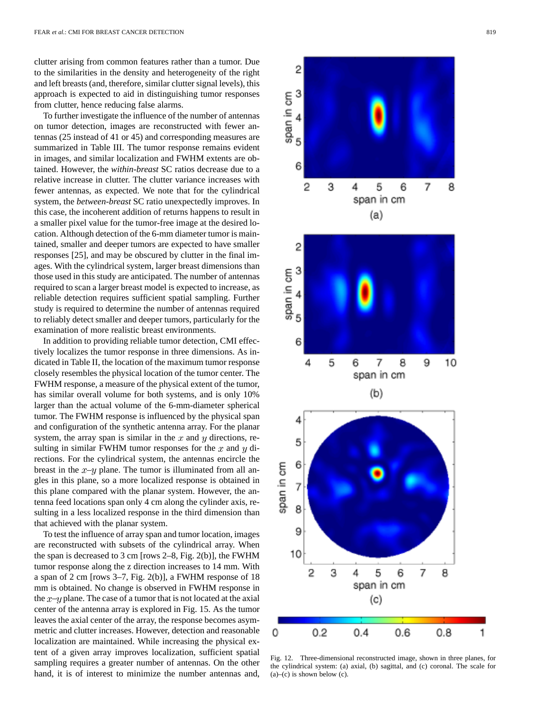clutter arising from common features rather than a tumor. Due to the similarities in the density and heterogeneity of the right and left breasts (and, therefore, similar clutter signal levels), this approach is expected to aid in distinguishing tumor responses from clutter, hence reducing false alarms.

To further investigate the influence of the number of antennas on tumor detection, images are reconstructed with fewer antennas (25 instead of 41 or 45) and corresponding measures are summarized in Table III. The tumor response remains evident in images, and similar localization and FWHM extents are obtained. However, the *within-breast* SC ratios decrease due to a relative increase in clutter. The clutter variance increases with fewer antennas, as expected. We note that for the cylindrical system, the *between-breast* SC ratio unexpectedly improves. In this case, the incoherent addition of returns happens to result in a smaller pixel value for the tumor-free image at the desired location. Although detection of the 6-mm diameter tumor is maintained, smaller and deeper tumors are expected to have smaller responses [25], and may be obscured by clutter in the final images. With the cylindrical system, larger breast dimensions than those used in this study are anticipated. The number of antennas required to scan a larger breast model is expected to increase, as reliable detection requires sufficient spatial sampling. Further study is required to determine the number of antennas required to reliably detect smaller and deeper tumors, particularly for the examination of more realistic breast environments.

In addition to providing reliable tumor detection, CMI effectively localizes the tumor response in three dimensions. As indicated in Table II, the location of the maximum tumor response closely resembles the physical location of the tumor center. The FWHM response, a measure of the physical extent of the tumor, has similar overall volume for both systems, and is only 10% larger than the actual volume of the 6-mm-diameter spherical tumor. The FWHM response is influenced by the physical span and configuration of the synthetic antenna array. For the planar system, the array span is similar in the  $x$  and  $y$  directions, resulting in similar FWHM tumor responses for the  $x$  and  $y$  directions. For the cylindrical system, the antennas encircle the breast in the  $x-y$  plane. The tumor is illuminated from all angles in this plane, so a more localized response is obtained in this plane compared with the planar system. However, the antenna feed locations span only 4 cm along the cylinder axis, resulting in a less localized response in the third dimension than that achieved with the planar system.

To test the influence of array span and tumor location, images are reconstructed with subsets of the cylindrical array. When the span is decreased to 3 cm [rows 2–8, Fig. 2(b)], the FWHM tumor response along the z direction increases to 14 mm. With a span of 2 cm [rows 3–7, Fig. 2(b)], a FWHM response of 18 mm is obtained. No change is observed in FWHM response in the  $x-y$  plane. The case of a tumor that is not located at the axial center of the antenna array is explored in Fig. 15. As the tumor leaves the axial center of the array, the response becomes asymmetric and clutter increases. However, detection and reasonable localization are maintained. While increasing the physical extent of a given array improves localization, sufficient spatial sampling requires a greater number of antennas. On the other hand, it is of interest to minimize the number antennas and.



Fig. 12. Three-dimensional reconstructed image, shown in three planes, for the cylindrical system: (a) axial, (b) sagittal, and (c) coronal. The scale for  $(a)$ – $(c)$  is shown below  $(c)$ .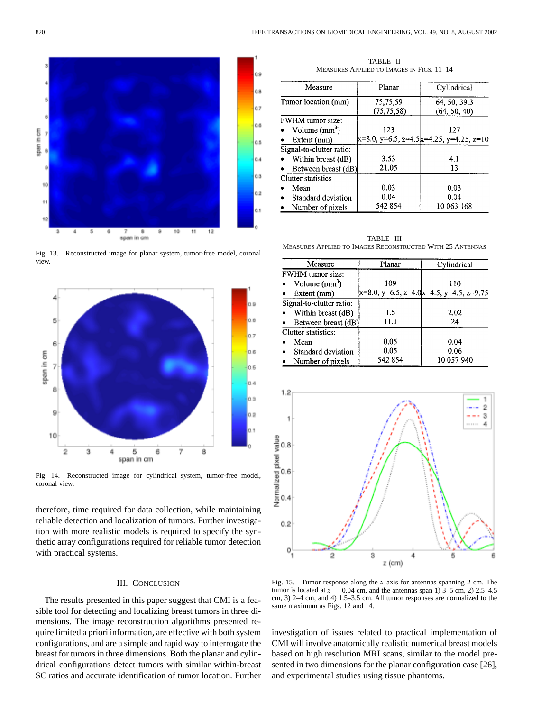

Fig. 13. Reconstructed image for planar system, tumor-free model, coronal view.



Fig. 14. Reconstructed image for cylindrical system, tumor-free model, coronal view.

therefore, time required for data collection, while maintaining reliable detection and localization of tumors. Further investigation with more realistic models is required to specify the synthetic array configurations required for reliable tumor detection with practical systems.

## III. CONCLUSION

The results presented in this paper suggest that CMI is a feasible tool for detecting and localizing breast tumors in three dimensions. The image reconstruction algorithms presented require limited a priori information, are effective with both system configurations, and are a simple and rapid way to interrogate the breast for tumors in three dimensions. Both the planar and cylindrical configurations detect tumors with similar within-breast SC ratios and accurate identification of tumor location. Further

TABLE II MEASURES APPLIED TO IMAGES IN FIGS. 11–14

| Measure                  | Planar       | Cylindrical                              |
|--------------------------|--------------|------------------------------------------|
| Tumor location (mm)      | 75,75,59     | 64, 50, 39.3                             |
|                          | (75, 75, 58) | (64, 50, 40)                             |
| <b>FWHM</b> tumor size:  |              |                                          |
| Volume $(mm^3)$          | 123          | 127                                      |
| Extent (mm)              |              | x=8.0, y=6.5, z=4.5 x=4.25, y=4.25, z=10 |
| Signal-to-clutter ratio: |              |                                          |
| Within breast (dB)       | 3.53         | 4.1                                      |
| Between breast (dB)      | 21.05        | 13                                       |
| Clutter statistics       |              |                                          |
| Mean                     | 0.03         | 0.03                                     |
| Standard deviation       | 0.04         | 0.04                                     |
| Number of pixels         | 542 854      | 10 063 168                               |

TABLE III MEASURES APPLIED TO IMAGES RECONSTRUCTED WITH 25 ANTENNAS

| Measure                  | Planar  | Cylindrical                                    |
|--------------------------|---------|------------------------------------------------|
| <b>FWHM</b> tumor size:  |         |                                                |
| Volume $(mm^3)$          | 109     | 110                                            |
| Extent (mm)              |         | $x=8.0$ , y=6.5, z=4.0 $x=4.5$ , y=4.5, z=9.75 |
| Signal-to-clutter ratio: |         |                                                |
| Within breast (dB)       | 1.5     | 2.02                                           |
| Between breast (dB)      | 11.1    | 24                                             |
| Clutter statistics:      |         |                                                |
| Mean                     | 0.05    | 0.04                                           |
| Standard deviation       | 0.05    | 0.06                                           |
| Number of pixels         | 542 854 | 10 057 940                                     |



Fig. 15. Tumor response along the z axis for antennas spanning 2 cm. The tumor is located at  $z = 0.04$  cm, and the antennas span 1) 3–5 cm, 2) 2.5–4.5 cm, 3) 2–4 cm, and 4) 1.5–3.5 cm. All tumor responses are normalized to the same maximum as Figs. 12 and 14.

investigation of issues related to practical implementation of CMI will involve anatomically realistic numerical breast models based on high resolution MRI scans, similar to the model presented in two dimensions for the planar configuration case [26], and experimental studies using tissue phantoms.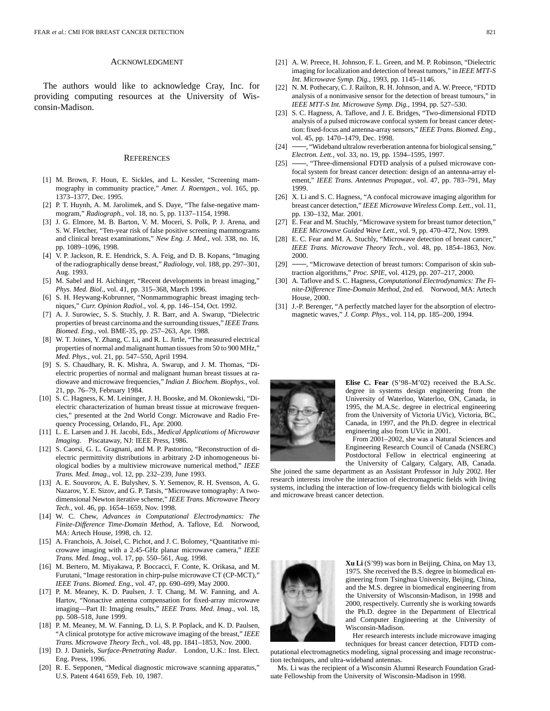#### ACKNOWLEDGMENT

The authors would like to acknowledge Cray, Inc. for providing computing resources at the University of Wisconsin-Madison.

#### **REFERENCES**

- [1] M. Brown, F. Houn, E. Sickles, and L. Kessler, "Screening mammography in community practice," *Amer. J. Roentgen.*, vol. 165, pp. 1373–1377, Dec. 1995.
- [2] P. T. Huynh, A. M. Jarolimek, and S. Daye, "The false-negative mammogram," *Radiograph.*, vol. 18, no. 5, pp. 1137–1154, 1998.
- [3] J. G. Elmore, M. B. Barton, V. M. Moceri, S. Polk, P. J. Arena, and S. W. Fletcher, "Ten-year risk of false positive screening mammograms and clinical breast examinations," *New Eng. J. Med.*, vol. 338, no. 16, pp. 1089–1096, 1998.
- [4] V. P. Jackson, R. E. Hendrick, S. A. Feig, and D. B. Kopans, "Imaging of the radiographically dense breast," *Radiology*, vol. 188, pp. 297–301, Aug. 1993.
- [5] M. Sabel and H. Aichinger, "Recent developments in breast imaging," *Phys. Med. Biol.*, vol. 41, pp. 315–368, March 1996.
- [6] S. H. Heywang-Kobrunner, "Nonmammographic breast imaging techniques," *Curr. Opinion Radiol.*, vol. 4, pp. 146–154, Oct. 1992.
- [7] A. J. Surowiec, S. S. Stuchly, J. R. Barr, and A. Swarup, "Dielectric properties of breast carcinoma and the surrounding tissues," *IEEE Trans. Biomed. Eng.*, vol. BME-35, pp. 257–263, Apr. 1988.
- [8] W. T. Joines, Y. Zhang, C. Li, and R. L. Jirtle, "The measured electrical properties of normal and malignant human tissues from 50 to 900 MHz," *Med. Phys.*, vol. 21, pp. 547–550, April 1994.
- [9] S. S. Chaudhary, R. K. Mishra, A. Swarup, and J. M. Thomas, "Dielectric properties of normal and malignant human breast tissues at radiowave and microwave frequencies," *Indian J. Biochem. Biophys.*, vol. 21, pp. 76–79, February 1984.
- [10] S. C. Hagness, K. M. Leininger, J. H. Booske, and M. Okoniewski, "Dielectric characterization of human breast tissue at microwave frequencies," presented at the 2nd World Congr. Microwave and Radio Frequency Processing, Orlando, FL, Apr. 2000.
- [11] L. E. Larsen and J. H. Jacobi, Eds., *Medical Applications of Microwave Imaging*. Piscataway, NJ: IEEE Press, 1986.
- [12] S. Caorsi, G. L. Gragnani, and M. P. Pastorino, "Reconstruction of dielectric permittivity distributions in arbitrary 2-D inhomogeneous biological bodies by a multiview microwave numerical method," *IEEE Trans. Med. Imag.*, vol. 12, pp. 232–239, June 1993.
- [13] A. E. Souvorov, A. E. Bulyshev, S. Y. Semenov, R. H. Svenson, A. G. Nazarov, Y. E. Sizov, and G. P. Tatsis, "Microwave tomography: A twodimensional Newton iterative scheme," *IEEE Trans. Microwave Theory Tech.*, vol. 46, pp. 1654–1659, Nov. 1998.
- [14] W. C. Chew, *Advances in Computational Electrodynamics: The Finite-Difference Time-Domain Method*, A. Taflove, Ed. Norwood, MA: Artech House, 1998, ch. 12.
- [15] A. Franchois, A. Joisel, C. Pichot, and J. C. Bolomey, "Quantitative microwave imaging with a 2.45-GHz planar microwave camera," *IEEE Trans. Med. Imag.*, vol. 17, pp. 550–561, Aug. 1998.
- [16] M. Bertero, M. Miyakawa, P. Boccacci, F. Conte, K. Orikasa, and M. Furutani, "Image restoration in chirp-pulse microwave CT (CP-MCT)," *IEEE Trans. Biomed. Eng.*, vol. 47, pp. 690–699, May 2000.
- [17] P. M. Meaney, K. D. Paulsen, J. T. Chang, M. W. Fanning, and A. Hartov, "Nonactive antenna compensation for fixed-array microwave imaging—Part II: Imaging results," *IEEE Trans. Med. Imag.*, vol. 18, pp. 508–518, June 1999.
- [18] P. M. Meaney, M. W. Fanning, D. Li, S. P. Poplack, and K. D. Paulsen, "A clinical prototype for active microwave imaging of the breast," *IEEE Trans. Microwave Theory Tech.*, vol. 48, pp. 1841–1853, Nov. 2000.
- [19] D. J. Daniels, *Surface-Penetrating Radar*. London, U.K.: Inst. Elect. Eng. Press, 1996.
- [20] R. E. Sepponen, "Medical diagnostic microwave scanning apparatus," U.S. Patent 4 641 659, Feb. 10, 1987.
- [21] A. W. Preece, H. Johnson, F. L. Green, and M. P. Robinson, "Dielectric imaging for localization and detection of breast tumors," in *IEEE MTT-S Int. Microwave Symp. Dig.*, 1993, pp. 1145–1146.
- [22] N. M. Pothecary, C. J. Railton, R. H. Johnson, and A. W. Preece, "FDTD analysis of a noninvasive sensor for the detection of breast tumours," in *IEEE MTT-S Int. Microwave Symp. Dig.*, 1994, pp. 527–530.
- [23] S. C. Hagness, A. Taflove, and J. E. Bridges, "Two-dimensional FDTD analysis of a pulsed microwave confocal system for breast cancer detection: fixed-focus and antenna-array sensors," *IEEE Trans. Biomed. Eng.*, vol. 45, pp. 1470–1479, Dec. 1998.
- [24] -, "Wideband ultralow reverberation antenna for biological sensing," *Electron. Lett.*, vol. 33, no. 19, pp. 1594–1595, 1997.
- [25]  $\rightarrow$ , "Three-dimensional FDTD analysis of a pulsed microwave confocal system for breast cancer detection: design of an antenna-array element," *IEEE Trans. Antennas Propagat.*, vol. 47, pp. 783–791, May 1999.
- [26] X. Li and S. C. Hagness, "A confocal microwave imaging algorithm for breast cancer detection," *IEEE Microwave Wireless Comp. Lett.*, vol. 11, pp. 130–132, Mar. 2001.
- [27] E. Fear and M. Stuchly, "Microwave system for breast tumor detection," *IEEE Microwave Guided Wave Lett.*, vol. 9, pp. 470–472, Nov. 1999.
- [28] E. C. Fear and M. A. Stuchly, "Microwave detection of breast cancer," *IEEE Trans. Microwave Theory Tech.*, vol. 48, pp. 1854–1863, Nov. 2000.
- [29]  $\frac{1}{29}$ , "Microwave detection of breast tumors: Comparison of skin subtraction algorithms," *Proc. SPIE*, vol. 4129, pp. 207–217, 2000.
- [30] A. Taflove and S. C. Hagness, *Computational Electrodynamics: The Finite-Difference Time-Domain Method*, 2nd ed. Norwood, MA: Artech House, 2000.
- [31] J.-P. Berenger, "A perfectly matched layer for the absorption of electromagnetic waves," *J. Comp. Phys.*, vol. 114, pp. 185–200, 1994.



**Elise C. Fear** (S'98–M'02) received the B.A.Sc. degree in systems design engineering from the University of Waterloo, Waterloo, ON, Canada, in 1995, the M.A.Sc. degree in electrical engineering from the University of Victoria UVic), Victoria, BC, Canada, in 1997, and the Ph.D. degree in electrical engineering also from UVic in 2001.

From 2001–2002, she was a Natural Sciences and Engineering Research Council of Canada (NSERC) Postdoctoral Fellow in electrical engineering at the University of Calgary, Calgary, AB, Canada.

She joined the same department as an Assistant Professor in July 2002. Her research interests involve the interaction of electromagnetic fields with living systems, including the interaction of low-frequency fields with biological cells and microwave breast cancer detection.



**Xu Li** (S'99) was born in Beijing, China, on May 13, 1975. She received the B.S. degree in biomedical engineering from Tsinghua University, Beijing, China, and the M.S. degree in biomedical engineering from the University of Wisconsin-Madison, in 1998 and 2000, respectively. Currently she is working towards the Ph.D. degree in the Department of Electrical and Computer Engineering at the University of Wisconsin-Madison.

Her research interests include microwave imaging techniques for breast cancer detection, FDTD com-

putational electromagnetics modeling, signal processing and image reconstruction techniques, and ultra-wideband antennas.

Ms. Li was the recipient of a Wisconsin Alumni Research Foundation Graduate Fellowship from the University of Wisconsin-Madison in 1998.